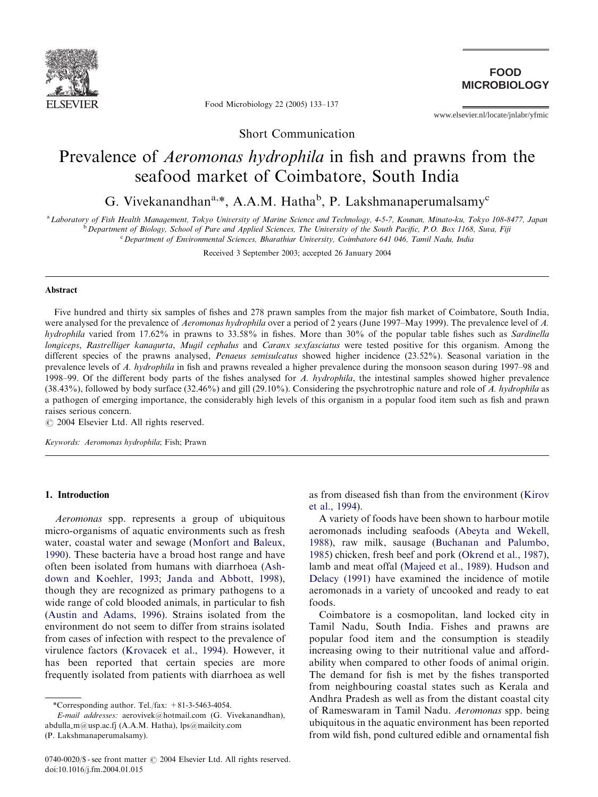

Food Microbiology 22 (2005) 133–137

**FOOD MICROBIOLOGY**

www.elsevier.nl/locate/jnlabr/yfmic

Short Communication

# Prevalence of Aeromonas hydrophila in fish and prawns from the seafood market of Coimbatore, South India

G. Vivekanandhan<sup>a,\*</sup>, A.A.M. Hatha<sup>b</sup>, P. Lakshmanaperumalsamy<sup>c</sup>

a Laboratory of Fish Health Management, Tokyo University of Marine Science and Technology, 4-5-7, Kounan, Minato-ku, Tokyo 108-8477, Japan  $^{\rm b}$  Department of Biology, School of Pure and Applied Sciences, The University of the South Pacific, P.O. Box 1168, Suva, Fiji

c Department of Environmental Sciences, Bharathiar University, Coimbatore 641 046, Tamil Nadu, India

Received 3 September 2003; accepted 26 January 2004

#### Abstract

Five hundred and thirty six samples of fishes and 278 prawn samples from the major fish market of Coimbatore, South India, were analysed for the prevalence of *Aeromonas hydrophila* over a period of 2 years (June 1997–May 1999). The prevalence level of A. hydrophila varied from 17.62% in prawns to 33.58% in fishes. More than 30% of the popular table fishes such as Sardinella longiceps, Rastrelliger kanagurta, Mugil cephalus and Caranx sexfasciatus were tested positive for this organism. Among the different species of the prawns analysed, *Penaeus semisulcatus* showed higher incidence (23.52%). Seasonal variation in the prevalence levels of A. hydrophila in fish and prawns revealed a higher prevalence during the monsoon season during 1997–98 and 1998–99. Of the different body parts of the fishes analysed for A. hydrophila, the intestinal samples showed higher prevalence (38.43%), followed by body surface (32.46%) and gill (29.10%). Considering the psychrotrophic nature and role of A. hydrophila as a pathogen of emerging importance, the considerably high levels of this organism in a popular food item such as fish and prawn raises serious concern.

 $\odot$  2004 Elsevier Ltd. All rights reserved.

Keywords: Aeromonas hydrophila; Fish; Prawn

## 1. Introduction

Aeromonas spp. represents a group of ubiquitous micro-organisms of aquatic environments such as fresh water, coastal water and sewage ([Monfort and Baleux,](#page-4-0) [1990\)](#page-4-0). These bacteria have a broad host range and have often been isolated from humans with diarrhoea ([Ash](#page-4-0)[down and Koehler, 1993](#page-4-0); [Janda and Abbott, 1998\)](#page-4-0), though they are recognized as primary pathogens to a wide range of cold blooded animals, in particular to fish [\(Austin and Adams, 1996\)](#page-4-0). Strains isolated from the environment do not seem to differ from strains isolated from cases of infection with respect to the prevalence of virulence factors ([Krovacek et al., 1994](#page-4-0)). However, it has been reported that certain species are more frequently isolated from patients with diarrhoea as well

\*Corresponding author. Tel./fax:  $+81-3-5463-4054$ .

E-mail addresses: aerovivek@hotmail.com (G. Vivekanandhan), abdulla m@usp.ac.fj (A.A.M. Hatha), lps@mailcity.com (P. Lakshmanaperumalsamy).

as from diseased fish than from the environment ([Kirov](#page-4-0) [et al., 1994](#page-4-0)).

A variety of foods have been shown to harbour motile aeromonads including seafoods ([Abeyta and Wekell,](#page-3-0) [1988\)](#page-3-0), raw milk, sausage ([Buchanan and Palumbo,](#page-4-0) [1985\)](#page-4-0) chicken, fresh beef and pork ([Okrend et al., 1987\)](#page-4-0), lamb and meat offal [\(Majeed et al., 1989](#page-4-0)). [Hudson and](#page-4-0) [Delacy \(1991\)](#page-4-0) have examined the incidence of motile aeromonads in a variety of uncooked and ready to eat foods.

Coimbatore is a cosmopolitan, land locked city in Tamil Nadu, South India. Fishes and prawns are popular food item and the consumption is steadily increasing owing to their nutritional value and affordability when compared to other foods of animal origin. The demand for fish is met by the fishes transported from neighbouring coastal states such as Kerala and Andhra Pradesh as well as from the distant coastal city of Rameswaram in Tamil Nadu. Aeromonas spp. being ubiquitous in the aquatic environment has been reported from wild fish, pond cultured edible and ornamental fish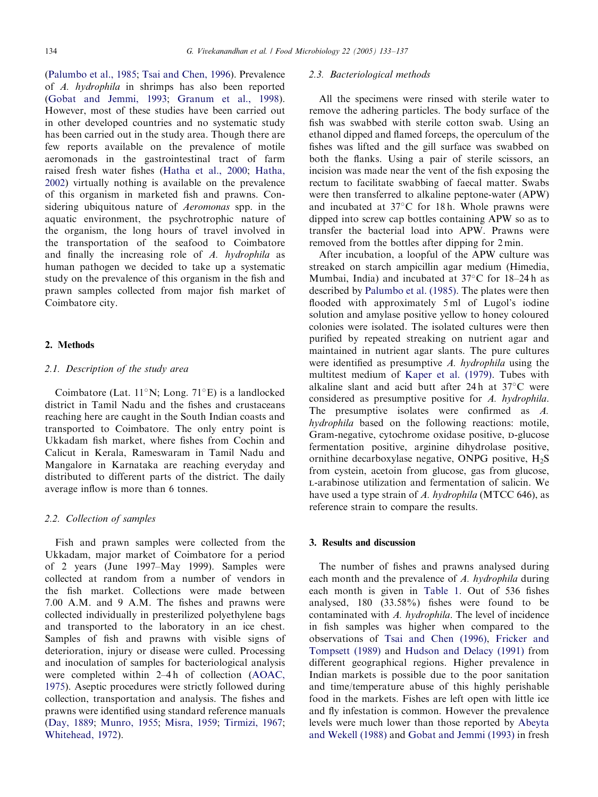[\(Palumbo et al., 1985;](#page-4-0) [Tsai and Chen, 1996](#page-4-0)). Prevalence of A. hydrophila in shrimps has also been reported [\(Gobat and Jemmi, 1993](#page-4-0); [Granum et al., 1998\)](#page-4-0). However, most of these studies have been carried out in other developed countries and no systematic study has been carried out in the study area. Though there are few reports available on the prevalence of motile aeromonads in the gastrointestinal tract of farm raised fresh water fishes [\(Hatha et al., 2000](#page-4-0); [Hatha,](#page-4-0) [2002\)](#page-4-0) virtually nothing is available on the prevalence of this organism in marketed fish and prawns. Considering ubiquitous nature of *Aeromonas* spp. in the aquatic environment, the psychrotrophic nature of the organism, the long hours of travel involved in the transportation of the seafood to Coimbatore and finally the increasing role of A. hydrophila as human pathogen we decided to take up a systematic study on the prevalence of this organism in the fish and prawn samples collected from major fish market of Coimbatore city.

#### 2. Methods

# 2.1. Description of the study area

Coimbatore (Lat.  $11^{\circ}$ N; Long.  $71^{\circ}$ E) is a landlocked district in Tamil Nadu and the fishes and crustaceans reaching here are caught in the South Indian coasts and transported to Coimbatore. The only entry point is Ukkadam fish market, where fishes from Cochin and Calicut in Kerala, Rameswaram in Tamil Nadu and Mangalore in Karnataka are reaching everyday and distributed to different parts of the district. The daily average inflow is more than 6 tonnes.

# 2.2. Collection of samples

Fish and prawn samples were collected from the Ukkadam, major market of Coimbatore for a period of2 years (June 1997–May 1999). Samples were collected at random from a number of vendors in the fish market. Collections were made between 7.00 A.M. and 9 A.M. The fishes and prawns were collected individually in presterilized polyethylene bags and transported to the laboratory in an ice chest. Samples of fish and prawns with visible signs of deterioration, injury or disease were culled. Processing and inoculation of samples for bacteriological analysis were completed within  $2-4h$  of collection ([AOAC,](#page-3-0) [1975\)](#page-3-0). Aseptic procedures were strictly followed during collection, transportation and analysis. The fishes and prawns were identified using standard reference manuals [\(Day, 1889](#page-4-0); [Munro, 1955](#page-4-0); [Misra, 1959](#page-4-0); [Tirmizi, 1967](#page-4-0); [Whitehead, 1972](#page-4-0)).

# 2.3. Bacteriological methods

All the specimens were rinsed with sterile water to remove the adhering particles. The body surface of the fish was swabbed with sterile cotton swab. Using an ethanol dipped and flamed forceps, the operculum of the fishes was lifted and the gill surface was swabbed on both the flanks. Using a pair of sterile scissors, an incision was made near the vent of the fish exposing the rectum to facilitate swabbing of faecal matter. Swabs were then transferred to alkaline peptone-water (APW) and incubated at  $37^{\circ}$ C for 18 h. Whole prawns were dipped into screw cap bottles containing APW so as to transfer the bacterial load into APW. Prawns were removed from the bottles after dipping for 2 min.

After incubation, a loopful of the APW culture was streaked on starch ampicillin agar medium (Himedia, Mumbai, India) and incubated at  $37^{\circ}$ C for 18–24h as described by [Palumbo et al. \(1985\)](#page-4-0). The plates were then flooded with approximately 5 ml of Lugol's iodine solution and amylase positive yellow to honey coloured colonies were isolated. The isolated cultures were then purified by repeated streaking on nutrient agar and maintained in nutrient agar slants. The pure cultures were identified as presumptive A. hydrophila using the multitest medium of [Kaper et al. \(1979\).](#page-4-0) Tubes with alkaline slant and acid butt after 24 h at  $37^{\circ}$ C were considered as presumptive positive for A. hydrophila. The presumptive isolates were confirmed as A. hydrophila based on the following reactions: motile, Gram-negative, cytochrome oxidase positive, p-glucose fermentation positive, arginine dihydrolase positive, ornithine decarboxylase negative, ONPG positive,  $H_2S$ from cystein, acetoin from glucose, gas from glucose, l-arabinose utilization and fermentation of salicin. We have used a type strain of A. hydrophila (MTCC 646), as reference strain to compare the results.

# 3. Results and discussion

The number of fishes and prawns analysed during each month and the prevalence of A. *hydrophila* during each month is given in [Table 1](#page-2-0). Out of 536 fishes analysed, 180 (33.58%) fishes were found to be contaminated with  $A$ . *hydrophila*. The level of incidence in fish samples was higher when compared to the observations of [Tsai and Chen \(1996\),](#page-4-0) [Fricker and](#page-4-0) [Tompsett \(1989\)](#page-4-0) and [Hudson and Delacy \(1991\)](#page-4-0) from different geographical regions. Higher prevalence in Indian markets is possible due to the poor sanitation and time/temperature abuse of this highly perishable food in the markets. Fishes are left open with little ice and fly infestation is common. However the prevalence levels were much lower than those reported by [Abeyta](#page-3-0) [and Wekell \(1988\)](#page-3-0) and [Gobat and Jemmi \(1993\)](#page-4-0) in fresh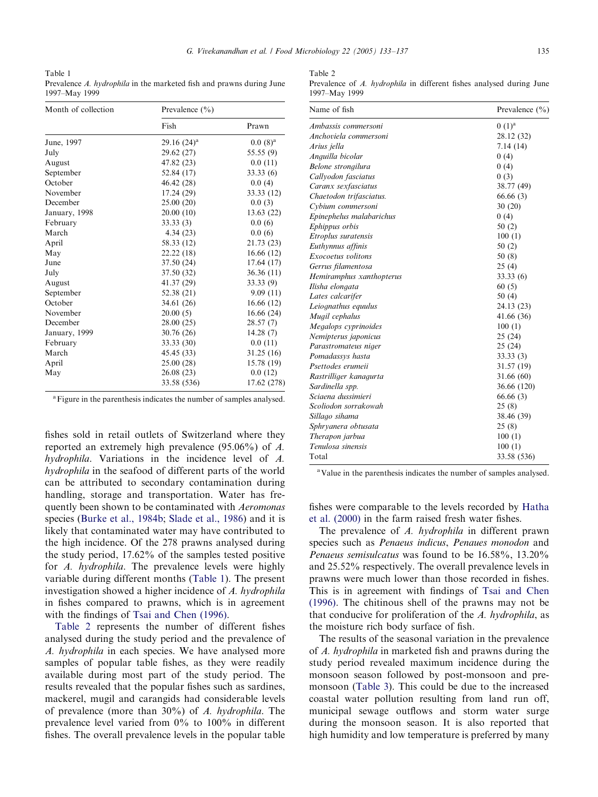<span id="page-2-0"></span>Table 1 Prevalence A. hydrophila in the marketed fish and prawns during June 1997–May 1999

| Month of collection | Prevalence $(\% )$ |             |
|---------------------|--------------------|-------------|
|                     | Fish               | Prawn       |
| June, 1997          | $29.16(24)^a$      | $0.0 (8)^a$ |
| July                | 29.62 (27)         | 55.55 (9)   |
| August              | 47.82 (23)         | 0.0(11)     |
| September           | 52.84 (17)         | 33.33(6)    |
| October             | 46.42 (28)         | 0.0(4)      |
| November            | 17.24 (29)         | 33.33 (12)  |
| December            | 25.00 (20)         | 0.0(3)      |
| January, 1998       | 20.00(10)          | 13.63(22)   |
| February            | 33.33(3)           | 0.0(6)      |
| March               | 4.34(23)           | 0.0(6)      |
| April               | 58.33 (12)         | 21.73 (23)  |
| May                 | 22.22 (18)         | 16.66 (12)  |
| June                | 37.50 (24)         | 17.64 (17)  |
| July                | 37.50 (32)         | 36.36 (11)  |
| August              | 41.37 (29)         | 33.33(9)    |
| September           | 52.38 (21)         | 9.09(11)    |
| October             | 34.61 (26)         | 16.66(12)   |
| November            | 20.00(5)           | 16.66 (24)  |
| December            | 28.00 (25)         | 28.57(7)    |
| January, 1999       | 30.76 (26)         | 14.28(7)    |
| February            | 33.33 (30)         | 0.0(11)     |
| March               | 45.45 (33)         | 31.25(16)   |
| April               | 25.00 (28)         | 15.78 (19)  |
| May                 | 26.08(23)          | 0.0(12)     |
|                     | 33.58 (536)        | 17.62 (278) |

<sup>a</sup> Figure in the parenthesis indicates the number of samples analysed.

fishes sold in retail outlets of Switzerland where they reported an extremely high prevalence (95.06%) of A. hydrophila. Variations in the incidence level of A. hydrophila in the seafood of different parts of the world can be attributed to secondary contamination during handling, storage and transportation. Water has frequently been shown to be contaminated with *Aeromonas* species [\(Burke et al., 1984b](#page-4-0); [Slade et al., 1986](#page-4-0)) and it is likely that contaminated water may have contributed to the high incidence. Of the 278 prawns analysed during the study period,  $17.62\%$  of the samples tested positive for A. hydrophila. The prevalence levels were highly variable during different months (Table 1). The present investigation showed a higher incidence of A. hydrophila in fishes compared to prawns, which is in agreement with the findings of [Tsai and Chen \(1996\).](#page-4-0)

Table 2 represents the number of different fishes analysed during the study period and the prevalence of A. hydrophila in each species. We have analysed more samples of popular table fishes, as they were readily available during most part of the study period. The results revealed that the popular fishes such as sardines, mackerel, mugil and carangids had considerable levels of prevalence (more than  $30\%$ ) of A. hydrophila. The prevalence level varied from 0% to 100% in different fishes. The overall prevalence levels in the popular table

Table 2 Prevalence of A. *hydrophila* in different fishes analysed during June 1997–May 1999

| Name of fish              | Prevalence $(\% )$ |
|---------------------------|--------------------|
| Ambassis commersoni       | $0(1)^{a}$         |
| Anchoviela commersoni     | 28.12 (32)         |
| Arius jella               | 7.14(14)           |
| Anguilla bicolar          | 0(4)               |
| Belone strongilura        | 0(4)               |
| Callyodon fasciatus       | 0(3)               |
| Caranx sexfasciatus       | 38.77 (49)         |
| Chaetodon trifasciatus.   | 66.66(3)           |
| Cybium commersoni         | 30(20)             |
| Epinephelus malabarichus  | 0(4)               |
| Ephippus orbis            | 50(2)              |
| Etroplus suratensis       | 100(1)             |
| Euthynnus affinis         | 50(2)              |
| <i>Exocoetus</i> volitons | 50 (8)             |
| Gerrus filamentosa        | 25(4)              |
| Hemiramphus xanthopterus  | 33.33(6)           |
| Ilisha elongata           | 60(5)              |
| Lates calcarifer          | 50(4)              |
| Leiognathus equulus       | 24.13 (23)         |
| Mugil cephalus            | 41.66 (36)         |
| Megalops cyprinoides      | 100(1)             |
| Nemipterus japonicus      | 25(24)             |
| Parastromateus niger      | 25(24)             |
| Pomadassys hasta          | 33.33(3)           |
| Psettodes erumeii         | 31.57 (19)         |
| Rastrilliger kanagurta    | 31.66 (60)         |
| Sardinella spp.           | 36.66 (120)        |
| Sciaena dussimieri        | 66.66(3)           |
| Scoliodon sorrakowah      | 25(8)              |
| Sillago sihama            | 38.46 (39)         |
| Sphryanera obtusata       | 25(8)              |
| Therapon jarbua           | 100(1)             |
| Tenulosa sinensis         | 100(1)             |
| Total                     | 33.58 (536)        |

<sup>a</sup>Value in the parenthesis indicates the number of samples analysed.

fishes were comparable to the levels recorded by [Hatha](#page-4-0) [et al. \(2000\)](#page-4-0) in the farm raised fresh water fishes.

The prevalence of A. *hydrophila* in different prawn species such as Penaeus indicus, Penaues monodon and Penaeus semisulcatus was found to be 16.58%, 13.20% and 25.52% respectively. The overall prevalence levels in prawns were much lower than those recorded in fishes. This is in agreement with findings of [Tsai and Chen](#page-4-0)  $(1996)$ . The chitinous shell of the prawns may not be that conducive for proliferation of the A. hydrophila, as the moisture rich body surface of fish.

The results of the seasonal variation in the prevalence of A. hydrophila in marketed fish and prawns during the study period revealed maximum incidence during the monsoon season followed by post-monsoon and premonsoon [\(Table 3](#page-3-0)). This could be due to the increased coastal water pollution resulting from land run off, municipal sewage outflows and storm water surge during the monsoon season. It is also reported that high humidity and low temperature is preferred by many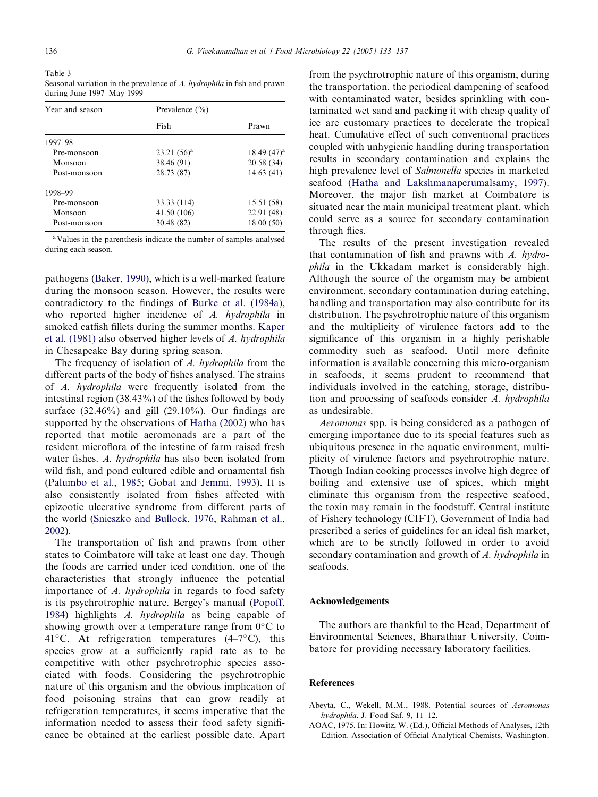<span id="page-3-0"></span>Table 3

Seasonal variation in the prevalence of A. *hydrophila* in fish and prawn during June 1997–May 1999

| Year and season | Prevalence $(\% )$ |                |  |
|-----------------|--------------------|----------------|--|
|                 | Fish               | Prawn          |  |
| 1997-98         |                    |                |  |
| Pre-monsoon     | $23.21(56)^a$      | 18.49 $(47)^a$ |  |
| Monsoon         | 38.46 (91)         | 20.58(34)      |  |
| Post-monsoon    | 28.73 (87)         | 14.63(41)      |  |
| 1998-99         |                    |                |  |
| Pre-monsoon     | 33.33 (114)        | 15.51 (58)     |  |
| Monsoon         | 41.50 (106)        | 22.91 (48)     |  |
| Post-monsoon    | 30.48 (82)         | 18.00(50)      |  |

<sup>a</sup>Values in the parenthesis indicate the number of samples analysed during each season.

pathogens [\(Baker, 1990](#page-4-0)), which is a well-marked feature during the monsoon season. However, the results were contradictory to the findings of [Burke et al. \(1984a\)](#page-4-0), who reported higher incidence of A. hydrophila in smoked catfish fillets during the summer months. [Kaper](#page-4-0) [et al. \(1981\)](#page-4-0) also observed higher levels of A. hydrophila in Chesapeake Bay during spring season.

The frequency of isolation of A. hydrophila from the different parts of the body of fishes analysed. The strains of A. hydrophila were frequently isolated from the intestinal region  $(38.43\%)$  of the fishes followed by body surface  $(32.46\%)$  and gill  $(29.10\%)$ . Our findings are supported by the observations of [Hatha \(2002\)](#page-4-0) who has reported that motile aeromonads are a part of the resident microflora of the intestine of farm raised fresh water fishes. A. *hydrophila* has also been isolated from wild fish, and pond cultured edible and ornamental fish [\(Palumbo et al., 1985;](#page-4-0) [Gobat and Jemmi, 1993](#page-4-0)). It is also consistently isolated from fishes affected with epizootic ulcerative syndrome from different parts of the world [\(Snieszko and Bullock, 1976,](#page-4-0) [Rahman et al.,](#page-4-0) [2002\)](#page-4-0).

The transportation of fish and prawns from other states to Coimbatore will take at least one day. Though the foods are carried under iced condition, one of the characteristics that strongly influence the potential importance of A. hydrophila in regards to food safety is its psychrotrophic nature. Bergey's manual [\(Popoff,](#page-4-0) [1984\)](#page-4-0) highlights A. hydrophila as being capable of showing growth over a temperature range from  $0^{\circ}$ C to 41<sup>o</sup>C. At refrigeration temperatures  $(4-7<sup>o</sup>C)$ , this species grow at a sufficiently rapid rate as to be competitive with other psychrotrophic species associated with foods. Considering the psychrotrophic nature of this organism and the obvious implication of food poisoning strains that can grow readily at refrigeration temperatures, it seems imperative that the information needed to assess their food safety significance be obtained at the earliest possible date. Apart

from the psychrotrophic nature of this organism, during the transportation, the periodical dampening of seafood with contaminated water, besides sprinkling with contaminated wet sand and packing it with cheap quality of ice are customary practices to decelerate the tropical heat. Cumulative effect of such conventional practices coupled with unhygienic handling during transportation results in secondary contamination and explains the high prevalence level of Salmonella species in marketed seafood [\(Hatha and Lakshmanaperumalsamy, 1997\)](#page-4-0). Moreover, the major fish market at Coimbatore is situated near the main municipal treatment plant, which could serve as a source for secondary contamination through flies.

The results of the present investigation revealed that contamination of fish and prawns with  $A$ . hydrophila in the Ukkadam market is considerably high. Although the source of the organism may be ambient environment, secondary contamination during catching, handling and transportation may also contribute for its distribution. The psychrotrophic nature of this organism and the multiplicity of virulence factors add to the significance of this organism in a highly perishable commodity such as seafood. Until more definite information is available concerning this micro-organism in seafoods, it seems prudent to recommend that individuals involved in the catching, storage, distribution and processing of seafoods consider  $A$ . hydrophila as undesirable.

Aeromonas spp. is being considered as a pathogen of emerging importance due to its special features such as ubiquitous presence in the aquatic environment, multiplicity of virulence factors and psychrotrophic nature. Though Indian cooking processes involve high degree of boiling and extensive use of spices, which might eliminate this organism from the respective seafood, the toxin may remain in the foodstuff. Central institute of Fishery technology (CIFT), Government of India had prescribed a series of guidelines for an ideal fish market, which are to be strictly followed in order to avoid secondary contamination and growth of A. hydrophila in seafoods.

# Acknowledgements

The authors are thankful to the Head, Department of Environmental Sciences, Bharathiar University, Coimbatore for providing necessary laboratory facilities.

# References

- Abeyta, C., Wekell, M.M., 1988. Potential sources of Aeromonas hydrophila. J. Food Saf. 9, 11–12.
- AOAC, 1975. In: Howitz, W. (Ed.), Official Methods of Analyses, 12th Edition. Association of Official Analytical Chemists, Washington.